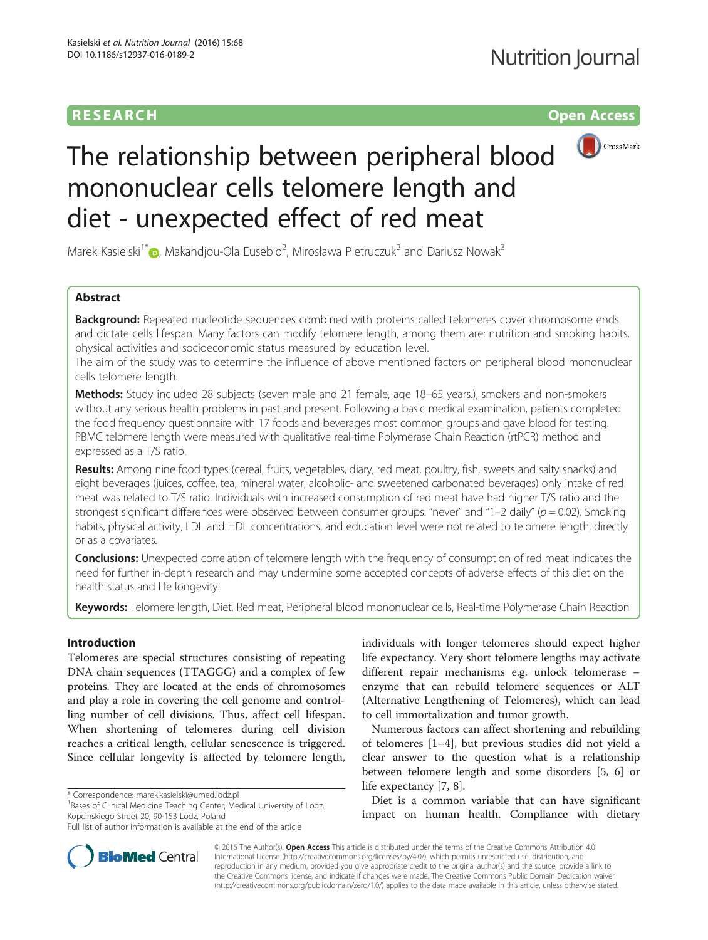# **RESEARCH RESEARCH** *CHECK <b>CHECK*



# The relationship between peripheral blood mononuclear cells telomere length and diet - unexpected effect of red meat

Marek Kasielski<sup>1\*</sup> $\textsf{D}$ [,](http://orcid.org/0000-0002-0108-9815) Makandjou-Ola Eusebio<sup>2</sup>, Mirosława Pietruczuk<sup>2</sup> and Dariusz Nowak<sup>3</sup>

# Abstract

**Background:** Repeated nucleotide sequences combined with proteins called telomeres cover chromosome ends and dictate cells lifespan. Many factors can modify telomere length, among them are: nutrition and smoking habits, physical activities and socioeconomic status measured by education level.

The aim of the study was to determine the influence of above mentioned factors on peripheral blood mononuclear cells telomere length.

Methods: Study included 28 subjects (seven male and 21 female, age 18-65 years.), smokers and non-smokers without any serious health problems in past and present. Following a basic medical examination, patients completed the food frequency questionnaire with 17 foods and beverages most common groups and gave blood for testing. PBMC telomere length were measured with qualitative real-time Polymerase Chain Reaction (rtPCR) method and expressed as a T/S ratio.

Results: Among nine food types (cereal, fruits, vegetables, diary, red meat, poultry, fish, sweets and salty snacks) and eight beverages (juices, coffee, tea, mineral water, alcoholic- and sweetened carbonated beverages) only intake of red meat was related to T/S ratio. Individuals with increased consumption of red meat have had higher T/S ratio and the strongest significant differences were observed between consumer groups: "never" and "1–2 daily" ( $p = 0.02$ ). Smoking habits, physical activity, LDL and HDL concentrations, and education level were not related to telomere length, directly or as a covariates.

Conclusions: Unexpected correlation of telomere length with the frequency of consumption of red meat indicates the need for further in-depth research and may undermine some accepted concepts of adverse effects of this diet on the health status and life longevity.

Keywords: Telomere length, Diet, Red meat, Peripheral blood mononuclear cells, Real-time Polymerase Chain Reaction

# Introduction

Telomeres are special structures consisting of repeating DNA chain sequences (TTAGGG) and a complex of few proteins. They are located at the ends of chromosomes and play a role in covering the cell genome and controlling number of cell divisions. Thus, affect cell lifespan. When shortening of telomeres during cell division reaches a critical length, cellular senescence is triggered. Since cellular longevity is affected by telomere length,

\* Correspondence: [marek.kasielski@umed.lodz.pl](mailto:marek.kasielski@umed.lodz.pl) <sup>1</sup>

<sup>1</sup>Bases of Clinical Medicine Teaching Center, Medical University of Lodz, Kopcinskiego Street 20, 90-153 Lodz, Poland

individuals with longer telomeres should expect higher life expectancy. Very short telomere lengths may activate different repair mechanisms e.g. unlock telomerase – enzyme that can rebuild telomere sequences or ALT (Alternative Lengthening of Telomeres), which can lead to cell immortalization and tumor growth.

Numerous factors can affect shortening and rebuilding of telomeres [\[1](#page-5-0)–[4](#page-5-0)], but previous studies did not yield a clear answer to the question what is a relationship between telomere length and some disorders [\[5](#page-5-0), [6\]](#page-5-0) or life expectancy [\[7](#page-5-0), [8](#page-5-0)].

Diet is a common variable that can have significant impact on human health. Compliance with dietary



© 2016 The Author(s). Open Access This article is distributed under the terms of the Creative Commons Attribution 4.0 International License [\(http://creativecommons.org/licenses/by/4.0/](http://creativecommons.org/licenses/by/4.0/)), which permits unrestricted use, distribution, and reproduction in any medium, provided you give appropriate credit to the original author(s) and the source, provide a link to the Creative Commons license, and indicate if changes were made. The Creative Commons Public Domain Dedication waiver [\(http://creativecommons.org/publicdomain/zero/1.0/](http://creativecommons.org/publicdomain/zero/1.0/)) applies to the data made available in this article, unless otherwise stated.

Full list of author information is available at the end of the article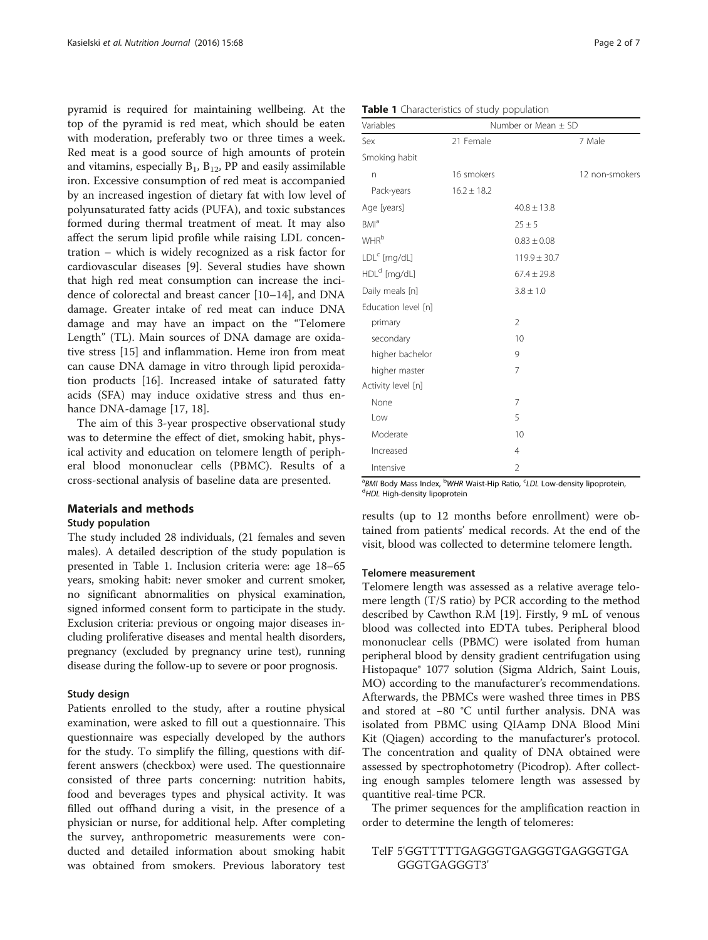<span id="page-1-0"></span>pyramid is required for maintaining wellbeing. At the top of the pyramid is red meat, which should be eaten with moderation, preferably two or three times a week. Red meat is a good source of high amounts of protein and vitamins, especially  $B_1$ ,  $B_{12}$ , PP and easily assimilable iron. Excessive consumption of red meat is accompanied by an increased ingestion of dietary fat with low level of polyunsaturated fatty acids (PUFA), and toxic substances formed during thermal treatment of meat. It may also affect the serum lipid profile while raising LDL concentration – which is widely recognized as a risk factor for cardiovascular diseases [[9\]](#page-5-0). Several studies have shown that high red meat consumption can increase the incidence of colorectal and breast cancer [[10](#page-5-0)–[14](#page-5-0)], and DNA damage. Greater intake of red meat can induce DNA damage and may have an impact on the "Telomere Length" (TL). Main sources of DNA damage are oxidative stress [[15\]](#page-5-0) and inflammation. Heme iron from meat can cause DNA damage in vitro through lipid peroxidation products [\[16](#page-5-0)]. Increased intake of saturated fatty acids (SFA) may induce oxidative stress and thus en-hance DNA-damage [\[17, 18\]](#page-5-0).

The aim of this 3-year prospective observational study was to determine the effect of diet, smoking habit, physical activity and education on telomere length of peripheral blood mononuclear cells (PBMC). Results of a cross-sectional analysis of baseline data are presented.

#### Materials and methods

#### Study population

The study included 28 individuals, (21 females and seven males). A detailed description of the study population is presented in Table 1. Inclusion criteria were: age 18–65 years, smoking habit: never smoker and current smoker, no significant abnormalities on physical examination, signed informed consent form to participate in the study. Exclusion criteria: previous or ongoing major diseases including proliferative diseases and mental health disorders, pregnancy (excluded by pregnancy urine test), running disease during the follow-up to severe or poor prognosis.

#### Study design

Patients enrolled to the study, after a routine physical examination, were asked to fill out a questionnaire. This questionnaire was especially developed by the authors for the study. To simplify the filling, questions with different answers (checkbox) were used. The questionnaire consisted of three parts concerning: nutrition habits, food and beverages types and physical activity. It was filled out offhand during a visit, in the presence of a physician or nurse, for additional help. After completing the survey, anthropometric measurements were conducted and detailed information about smoking habit was obtained from smokers. Previous laboratory test

| Table 1 Characteristics of study population |  |  |
|---------------------------------------------|--|--|
|---------------------------------------------|--|--|

| Variables                | Number or Mean ± SD |                  |                |  |  |
|--------------------------|---------------------|------------------|----------------|--|--|
| Sex                      | 21 Female           | 7 Male           |                |  |  |
| Smoking habit            |                     |                  |                |  |  |
| n                        | 16 smokers          |                  | 12 non-smokers |  |  |
| Pack-years               | $16.2 \pm 18.2$     |                  |                |  |  |
| Age [years]              |                     | $40.8 \pm 13.8$  |                |  |  |
| BMI <sup>a</sup>         |                     | $25 \pm 5$       |                |  |  |
| <b>WHR</b> <sup>b</sup>  |                     | $0.83 \pm 0.08$  |                |  |  |
| LDL <sup>c</sup> [mg/dL] |                     | $119.9 \pm 30.7$ |                |  |  |
| HDL <sup>d</sup> [mg/dL] |                     | $67.4 \pm 29.8$  |                |  |  |
| Daily meals [n]          |                     | $3.8 \pm 1.0$    |                |  |  |
| Education level [n]      |                     |                  |                |  |  |
| primary                  |                     | $\overline{2}$   |                |  |  |
| secondary                |                     | 10               |                |  |  |
| higher bachelor          |                     | 9                |                |  |  |
| higher master            |                     | 7                |                |  |  |
| Activity level [n]       |                     |                  |                |  |  |
| None                     |                     | 7                |                |  |  |
| Low                      |                     | 5                |                |  |  |
| Moderate                 |                     | 10               |                |  |  |
| Increased                |                     | $\overline{4}$   |                |  |  |
| Intensive                |                     | $\overline{2}$   |                |  |  |

<sup>a</sup>BMI Body Mass Index, <sup>b</sup>WHR Waist-Hip Ratio, <sup>c</sup>LDL Low-density lipoprotein,<br><sup>d</sup>HDL High-density lipoprotein <sup>d</sup>HDL High-density lipoprotein

results (up to 12 months before enrollment) were obtained from patients' medical records. At the end of the visit, blood was collected to determine telomere length.

#### Telomere measurement

Telomere length was assessed as a relative average telomere length (T/S ratio) by PCR according to the method described by Cawthon R.M [[19\]](#page-5-0). Firstly, 9 mL of venous blood was collected into EDTA tubes. Peripheral blood mononuclear cells (PBMC) were isolated from human peripheral blood by density gradient centrifugation using Histopaque® 1077 solution (Sigma Aldrich, Saint Louis, MO) according to the manufacturer's recommendations. Afterwards, the PBMCs were washed three times in PBS and stored at −80 °C until further analysis. DNA was isolated from PBMC using QIAamp DNA Blood Mini Kit (Qiagen) according to the manufacturer's protocol. The concentration and quality of DNA obtained were assessed by spectrophotometry (Picodrop). After collecting enough samples telomere length was assessed by quantitive real-time PCR.

The primer sequences for the amplification reaction in order to determine the length of telomeres:

## TelF 5'GGTTTTTGAGGGTGAGGGTGAGGGTGA GGGTGAGGGT3'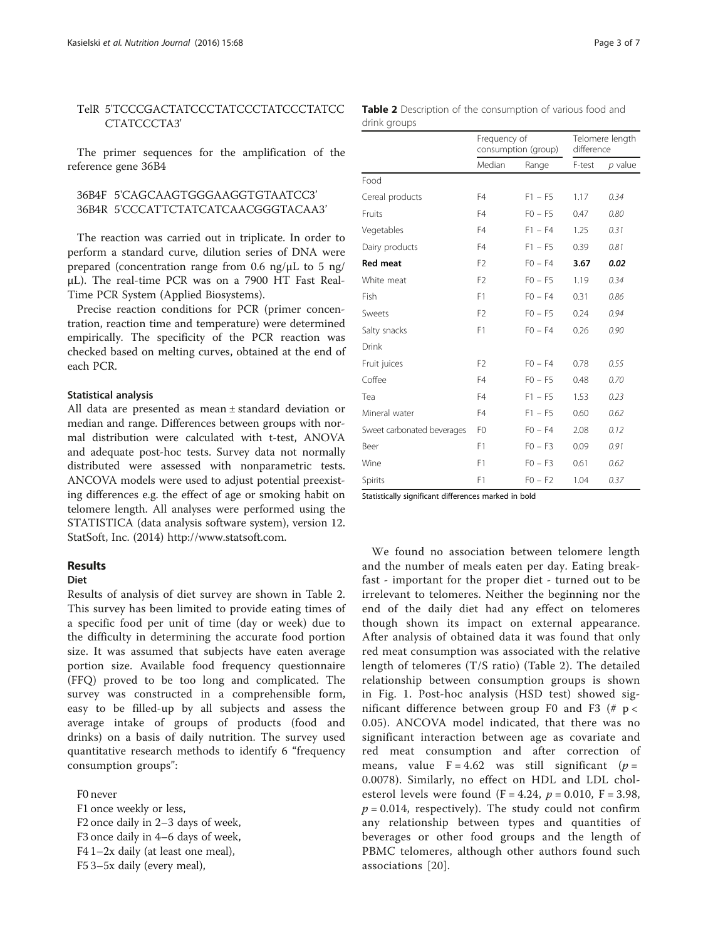### TelR 5'TCCCGACTATCCCTATCCCTATCCCTATCC CTATCCCTA3'

The primer sequences for the amplification of the reference gene 36B4

# 36B4F 5'CAGCAAGTGGGAAGGTGTAATCC3' 36B4R 5'CCCATTCTATCATCAACGGGTACAA3'

The reaction was carried out in triplicate. In order to perform a standard curve, dilution series of DNA were prepared (concentration range from 0.6 ng/μL to 5 ng/ μL). The real-time PCR was on a 7900 HT Fast Real-Time PCR System (Applied Biosystems).

Precise reaction conditions for PCR (primer concentration, reaction time and temperature) were determined empirically. The specificity of the PCR reaction was checked based on melting curves, obtained at the end of each PCR.

#### Statistical analysis

All data are presented as mean ± standard deviation or median and range. Differences between groups with normal distribution were calculated with t-test, ANOVA and adequate post-hoc tests. Survey data not normally distributed were assessed with nonparametric tests. ANCOVA models were used to adjust potential preexisting differences e.g. the effect of age or smoking habit on telomere length. All analyses were performed using the STATISTICA (data analysis software system), version 12. StatSoft, Inc. (2014)<http://www.statsoft.com>.

# Results

#### Diet

Results of analysis of diet survey are shown in Table 2. This survey has been limited to provide eating times of a specific food per unit of time (day or week) due to the difficulty in determining the accurate food portion size. It was assumed that subjects have eaten average portion size. Available food frequency questionnaire (FFQ) proved to be too long and complicated. The survey was constructed in a comprehensible form, easy to be filled-up by all subjects and assess the average intake of groups of products (food and drinks) on a basis of daily nutrition. The survey used quantitative research methods to identify 6 "frequency consumption groups":

F0 never

F1 once weekly or less, F2 once daily in 2–3 days of week, F3 once daily in 4–6 days of week, F4 1–2x daily (at least one meal), F5 3–5x daily (every meal),

|              |  |  | Table 2 Description of the consumption of various food and |  |  |
|--------------|--|--|------------------------------------------------------------|--|--|
| drink groups |  |  |                                                            |  |  |

|                            | Frequency of<br>consumption (group) |           | Telomere length<br>difference |           |
|----------------------------|-------------------------------------|-----------|-------------------------------|-----------|
|                            | Median                              | Range     | F-test                        | $p$ value |
| Food                       |                                     |           |                               |           |
| Cereal products            | F4                                  | $F1 - F5$ | 1.17                          | 0.34      |
| Fruits                     | F4                                  | $FO - F5$ | 0.47                          | 0.80      |
| Vegetables                 | F4                                  | $F1 - F4$ | 1.25                          | 0.31      |
| Dairy products             | F4                                  | $F1 - F5$ | 0.39                          | 0.81      |
| <b>Red meat</b>            | F <sub>2</sub>                      | $FO - F4$ | 3.67                          | 0.02      |
| White meat                 | F <sub>2</sub>                      | $FO - F5$ | 1.19                          | 0.34      |
| Fish                       | F1                                  | $FO - F4$ | 0.31                          | 0.86      |
| Sweets                     | F <sub>2</sub>                      | $FO - F5$ | 0.24                          | 0.94      |
| Salty snacks               | F1                                  | $FO - F4$ | 0.26                          | 0.90      |
| <b>Drink</b>               |                                     |           |                               |           |
| Fruit juices               | F <sub>2</sub>                      | $FO - F4$ | 0.78                          | 0.55      |
| Coffee                     | F4                                  | $FO - F5$ | 0.48                          | 0.70      |
| Tea                        | F4                                  | $F1 - F5$ | 1.53                          | 0.23      |
| Mineral water              | F4                                  | $F1 - F5$ | 0.60                          | 0.62      |
| Sweet carbonated beverages | F <sub>0</sub>                      | $FO - F4$ | 2.08                          | 0.12      |
| Beer                       | F1                                  | $FO - F3$ | 0.09                          | 0.91      |
| Wine                       | F1                                  | $FO - F3$ | 0.61                          | 0.62      |
| Spirits                    | F1                                  | $FO - F2$ | 1.04                          | 0.37      |

Statistically significant differences marked in bold

We found no association between telomere length and the number of meals eaten per day. Eating breakfast - important for the proper diet - turned out to be irrelevant to telomeres. Neither the beginning nor the end of the daily diet had any effect on telomeres though shown its impact on external appearance. After analysis of obtained data it was found that only red meat consumption was associated with the relative length of telomeres (T/S ratio) (Table 2). The detailed relationship between consumption groups is shown in Fig. [1](#page-3-0). Post-hoc analysis (HSD test) showed significant difference between group F0 and F3 (# p < 0.05). ANCOVA model indicated, that there was no significant interaction between age as covariate and red meat consumption and after correction of means, value  $F = 4.62$  was still significant ( $p =$ 0.0078). Similarly, no effect on HDL and LDL cholesterol levels were found  $(F = 4.24, p = 0.010, F = 3.98,$  $p = 0.014$ , respectively). The study could not confirm any relationship between types and quantities of beverages or other food groups and the length of PBMC telomeres, although other authors found such associations [[20](#page-5-0)].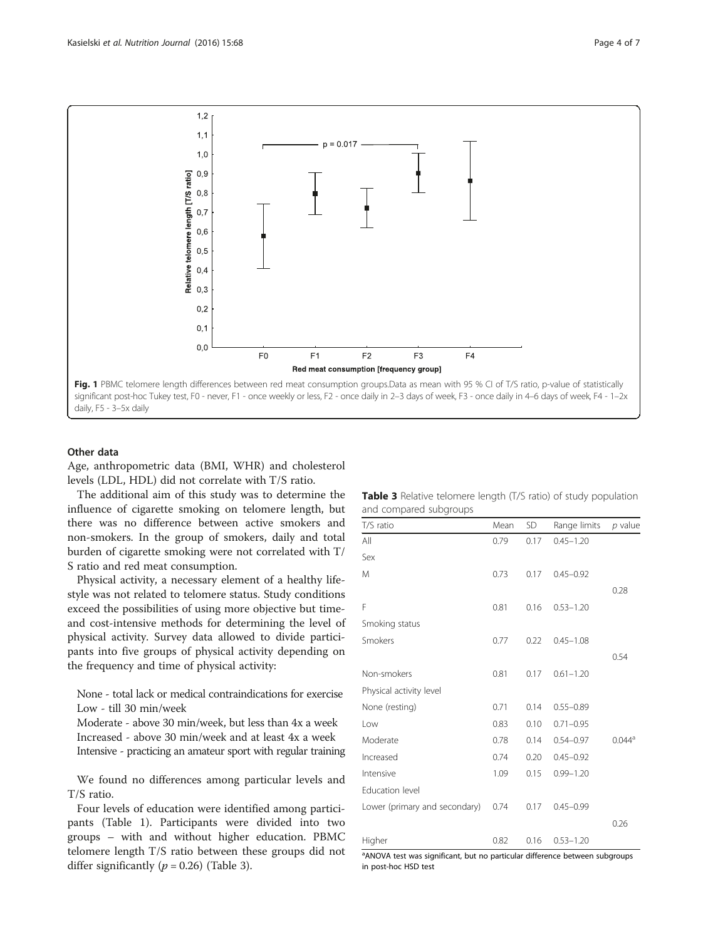<span id="page-3-0"></span>

#### Other data

Age, anthropometric data (BMI, WHR) and cholesterol levels (LDL, HDL) did not correlate with T/S ratio.

The additional aim of this study was to determine the influence of cigarette smoking on telomere length, but there was no difference between active smokers and non-smokers. In the group of smokers, daily and total burden of cigarette smoking were not correlated with T/ S ratio and red meat consumption.

Physical activity, a necessary element of a healthy lifestyle was not related to telomere status. Study conditions exceed the possibilities of using more objective but timeand cost-intensive methods for determining the level of physical activity. Survey data allowed to divide participants into five groups of physical activity depending on the frequency and time of physical activity:

None - total lack or medical contraindications for exercise Low - till 30 min/week

Moderate - above 30 min/week, but less than 4x a week Increased - above 30 min/week and at least 4x a week Intensive - practicing an amateur sport with regular training

We found no differences among particular levels and T/S ratio.

Four levels of education were identified among participants (Table [1\)](#page-1-0). Participants were divided into two groups – with and without higher education. PBMC telomere length T/S ratio between these groups did not differ significantly  $(p = 0.26)$  (Table 3).

|                        |  |  | <b>Table 3</b> Relative telomere length (T/S ratio) of study population |
|------------------------|--|--|-------------------------------------------------------------------------|
| and compared subgroups |  |  |                                                                         |

| T/S ratio                     | Mean | <b>SD</b> | Range limits  | $p$ value            |
|-------------------------------|------|-----------|---------------|----------------------|
| All                           | 0.79 | 0.17      | $0.45 - 1.20$ |                      |
| Sex                           |      |           |               |                      |
| M                             | 0.73 | 0.17      | $0.45 - 0.92$ |                      |
|                               |      |           |               | 0.28                 |
| F                             | 0.81 | 0.16      | $0.53 - 1.20$ |                      |
| Smoking status                |      |           |               |                      |
| Smokers                       | 0.77 | 0.22      | $0.45 - 1.08$ |                      |
|                               |      |           |               | 0.54                 |
| Non-smokers                   | 0.81 | 0.17      | $0.61 - 1.20$ |                      |
| Physical activity level       |      |           |               |                      |
| None (resting)                | 0.71 | 0.14      | $0.55 - 0.89$ |                      |
| Low                           | 0.83 | 0.10      | $0.71 - 0.95$ |                      |
| Moderate                      | 0.78 | 0.14      | $0.54 - 0.97$ | $0.044$ <sup>a</sup> |
| Increased                     | 0.74 | 0.20      | $0.45 - 0.92$ |                      |
| Intensive                     | 1.09 | 0.15      | $0.99 - 1.20$ |                      |
| <b>Education level</b>        |      |           |               |                      |
| Lower (primary and secondary) | 0.74 | 0.17      | $0.45 - 0.99$ |                      |
|                               |      |           |               | 0.26                 |
| Higher                        | 0.82 | 0.16      | $0.53 - 1.20$ |                      |

<sup>a</sup> ANOVA test was significant, but no particular difference between subgroups in post-hoc HSD test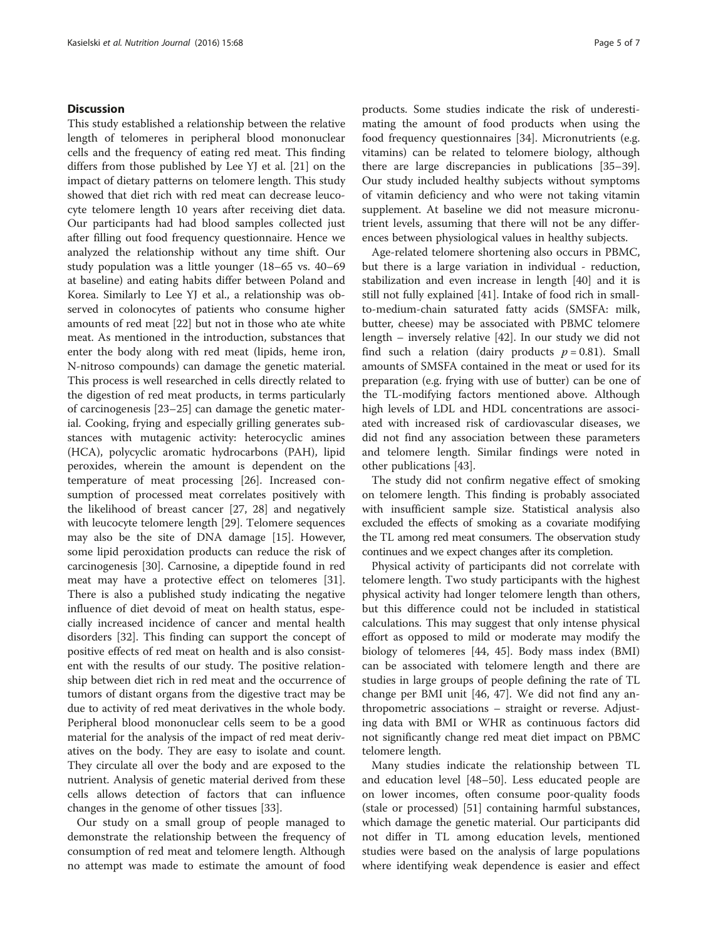#### **Discussion**

This study established a relationship between the relative length of telomeres in peripheral blood mononuclear cells and the frequency of eating red meat. This finding differs from those published by Lee YJ et al. [\[21\]](#page-6-0) on the impact of dietary patterns on telomere length. This study showed that diet rich with red meat can decrease leucocyte telomere length 10 years after receiving diet data. Our participants had had blood samples collected just after filling out food frequency questionnaire. Hence we analyzed the relationship without any time shift. Our study population was a little younger (18–65 vs. 40–69 at baseline) and eating habits differ between Poland and Korea. Similarly to Lee YJ et al., a relationship was observed in colonocytes of patients who consume higher amounts of red meat [\[22](#page-6-0)] but not in those who ate white meat. As mentioned in the introduction, substances that enter the body along with red meat (lipids, heme iron, N-nitroso compounds) can damage the genetic material. This process is well researched in cells directly related to the digestion of red meat products, in terms particularly of carcinogenesis [[23](#page-6-0)–[25](#page-6-0)] can damage the genetic material. Cooking, frying and especially grilling generates substances with mutagenic activity: heterocyclic amines (HCA), polycyclic aromatic hydrocarbons (PAH), lipid peroxides, wherein the amount is dependent on the temperature of meat processing [[26](#page-6-0)]. Increased consumption of processed meat correlates positively with the likelihood of breast cancer [\[27, 28](#page-6-0)] and negatively with leucocyte telomere length [\[29\]](#page-6-0). Telomere sequences may also be the site of DNA damage [\[15\]](#page-5-0). However, some lipid peroxidation products can reduce the risk of carcinogenesis [[30](#page-6-0)]. Carnosine, a dipeptide found in red meat may have a protective effect on telomeres [\[31](#page-6-0)]. There is also a published study indicating the negative influence of diet devoid of meat on health status, especially increased incidence of cancer and mental health disorders [\[32](#page-6-0)]. This finding can support the concept of positive effects of red meat on health and is also consistent with the results of our study. The positive relationship between diet rich in red meat and the occurrence of tumors of distant organs from the digestive tract may be due to activity of red meat derivatives in the whole body. Peripheral blood mononuclear cells seem to be a good material for the analysis of the impact of red meat derivatives on the body. They are easy to isolate and count. They circulate all over the body and are exposed to the nutrient. Analysis of genetic material derived from these cells allows detection of factors that can influence changes in the genome of other tissues [\[33](#page-6-0)].

Our study on a small group of people managed to demonstrate the relationship between the frequency of consumption of red meat and telomere length. Although no attempt was made to estimate the amount of food products. Some studies indicate the risk of underestimating the amount of food products when using the food frequency questionnaires [\[34\]](#page-6-0). Micronutrients (e.g. vitamins) can be related to telomere biology, although there are large discrepancies in publications [[35](#page-6-0)–[39](#page-6-0)]. Our study included healthy subjects without symptoms of vitamin deficiency and who were not taking vitamin supplement. At baseline we did not measure micronutrient levels, assuming that there will not be any differences between physiological values in healthy subjects.

Age-related telomere shortening also occurs in PBMC, but there is a large variation in individual - reduction, stabilization and even increase in length [[40\]](#page-6-0) and it is still not fully explained [[41\]](#page-6-0). Intake of food rich in smallto-medium-chain saturated fatty acids (SMSFA: milk, butter, cheese) may be associated with PBMC telomere length – inversely relative [\[42\]](#page-6-0). In our study we did not find such a relation (dairy products  $p = 0.81$ ). Small amounts of SMSFA contained in the meat or used for its preparation (e.g. frying with use of butter) can be one of the TL-modifying factors mentioned above. Although high levels of LDL and HDL concentrations are associated with increased risk of cardiovascular diseases, we did not find any association between these parameters and telomere length. Similar findings were noted in other publications [\[43\]](#page-6-0).

The study did not confirm negative effect of smoking on telomere length. This finding is probably associated with insufficient sample size. Statistical analysis also excluded the effects of smoking as a covariate modifying the TL among red meat consumers. The observation study continues and we expect changes after its completion.

Physical activity of participants did not correlate with telomere length. Two study participants with the highest physical activity had longer telomere length than others, but this difference could not be included in statistical calculations. This may suggest that only intense physical effort as opposed to mild or moderate may modify the biology of telomeres [[44](#page-6-0), [45](#page-6-0)]. Body mass index (BMI) can be associated with telomere length and there are studies in large groups of people defining the rate of TL change per BMI unit [[46, 47](#page-6-0)]. We did not find any anthropometric associations – straight or reverse. Adjusting data with BMI or WHR as continuous factors did not significantly change red meat diet impact on PBMC telomere length.

Many studies indicate the relationship between TL and education level [[48](#page-6-0)–[50](#page-6-0)]. Less educated people are on lower incomes, often consume poor-quality foods (stale or processed) [[51\]](#page-6-0) containing harmful substances, which damage the genetic material. Our participants did not differ in TL among education levels, mentioned studies were based on the analysis of large populations where identifying weak dependence is easier and effect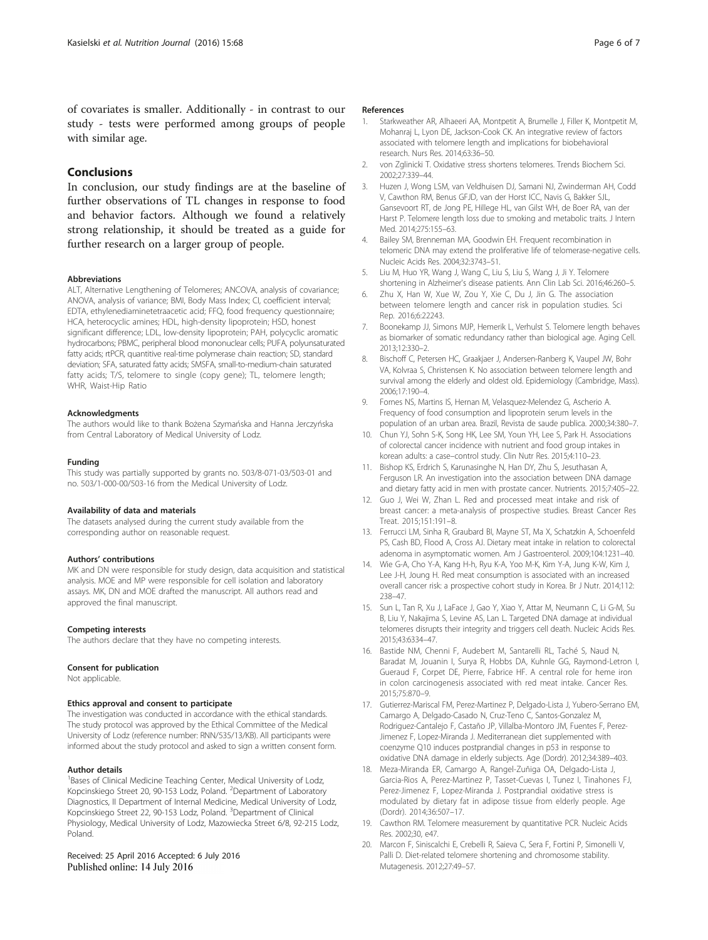<span id="page-5-0"></span>of covariates is smaller. Additionally - in contrast to our study - tests were performed among groups of people with similar age.

#### Conclusions

In conclusion, our study findings are at the baseline of further observations of TL changes in response to food and behavior factors. Although we found a relatively strong relationship, it should be treated as a guide for further research on a larger group of people.

#### Abbreviations

ALT, Alternative Lengthening of Telomeres; ANCOVA, analysis of covariance; ANOVA, analysis of variance; BMI, Body Mass Index; CI, coefficient interval; EDTA, ethylenediaminetetraacetic acid; FFQ, food frequency questionnaire; HCA, heterocyclic amines; HDL, high-density lipoprotein; HSD, honest significant difference; LDL, low-density lipoprotein; PAH, polycyclic aromatic hydrocarbons; PBMC, peripheral blood mononuclear cells; PUFA, polyunsaturated fatty acids; rtPCR, quantitive real-time polymerase chain reaction; SD, standard deviation; SFA, saturated fatty acids; SMSFA, small-to-medium-chain saturated fatty acids; T/S, telomere to single (copy gene); TL, telomere length; WHR, Waist-Hip Ratio

#### Acknowledgments

The authors would like to thank Bożena Szymańska and Hanna Jerczyńska from Central Laboratory of Medical University of Lodz.

#### Funding

This study was partially supported by grants no. 503/8-071-03/503-01 and no. 503/1-000-00/503-16 from the Medical University of Lodz.

#### Availability of data and materials

The datasets analysed during the current study available from the corresponding author on reasonable request.

#### Authors' contributions

MK and DN were responsible for study design, data acquisition and statistical analysis. MOE and MP were responsible for cell isolation and laboratory assays. MK, DN and MOE drafted the manuscript. All authors read and approved the final manuscript.

#### Competing interests

The authors declare that they have no competing interests.

#### Consent for publication

Not applicable.

#### Ethics approval and consent to participate

The investigation was conducted in accordance with the ethical standards. The study protocol was approved by the Ethical Committee of the Medical University of Lodz (reference number: RNN/535/13/KB). All participants were informed about the study protocol and asked to sign a written consent form.

#### Author details

<sup>1</sup>Bases of Clinical Medicine Teaching Center, Medical University of Lodz, Kopcinskiego Street 20, 90-153 Lodz, Poland. <sup>2</sup>Department of Laboratory Diagnostics, II Department of Internal Medicine, Medical University of Lodz, Kopcinskiego Street 22, 90-153 Lodz, Poland. <sup>3</sup>Department of Clinical Physiology, Medical University of Lodz, Mazowiecka Street 6/8, 92-215 Lodz, Poland.

Received: 25 April 2016 Accepted: 6 July 2016 Published online: 14 July 2016

#### References

- Starkweather AR, Alhaeeri AA, Montpetit A, Brumelle J, Filler K, Montpetit M, Mohanraj L, Lyon DE, Jackson-Cook CK. An integrative review of factors associated with telomere length and implications for biobehavioral research. Nurs Res. 2014;63:36–50.
- 2. von Zglinicki T. Oxidative stress shortens telomeres. Trends Biochem Sci. 2002;27:339–44.
- 3. Huzen J, Wong LSM, van Veldhuisen DJ, Samani NJ, Zwinderman AH, Codd V, Cawthon RM, Benus GFJD, van der Horst ICC, Navis G, Bakker SJL, Gansevoort RT, de Jong PE, Hillege HL, van Gilst WH, de Boer RA, van der Harst P. Telomere length loss due to smoking and metabolic traits. J Intern Med. 2014;275:155–63.
- 4. Bailey SM, Brenneman MA, Goodwin EH. Frequent recombination in telomeric DNA may extend the proliferative life of telomerase-negative cells. Nucleic Acids Res. 2004;32:3743–51.
- 5. Liu M, Huo YR, Wang J, Wang C, Liu S, Liu S, Wang J, Ji Y. Telomere shortening in Alzheimer's disease patients. Ann Clin Lab Sci. 2016;46:260–5.
- 6. Zhu X, Han W, Xue W, Zou Y, Xie C, Du J, Jin G. The association between telomere length and cancer risk in population studies. Sci Rep. 2016;6:22243.
- 7. Boonekamp JJ, Simons MJP, Hemerik L, Verhulst S. Telomere length behaves as biomarker of somatic redundancy rather than biological age. Aging Cell. 2013;12:330–2.
- 8. Bischoff C, Petersen HC, Graakjaer J, Andersen-Ranberg K, Vaupel JW, Bohr VA, Kolvraa S, Christensen K. No association between telomere length and survival among the elderly and oldest old. Epidemiology (Cambridge, Mass). 2006;17:190–4.
- 9. Fornes NS, Martins IS, Hernan M, Velasquez-Melendez G, Ascherio A. Frequency of food consumption and lipoprotein serum levels in the population of an urban area. Brazil, Revista de saude publica. 2000;34:380–7.
- 10. Chun YJ, Sohn S-K, Song HK, Lee SM, Youn YH, Lee S, Park H. Associations of colorectal cancer incidence with nutrient and food group intakes in korean adults: a case–control study. Clin Nutr Res. 2015;4:110–23.
- 11. Bishop KS, Erdrich S, Karunasinghe N, Han DY, Zhu S, Jesuthasan A, Ferguson LR. An investigation into the association between DNA damage and dietary fatty acid in men with prostate cancer. Nutrients. 2015;7:405–22.
- 12. Guo J, Wei W, Zhan L. Red and processed meat intake and risk of breast cancer: a meta-analysis of prospective studies. Breast Cancer Res Treat. 2015;151:191–8.
- 13. Ferrucci LM, Sinha R, Graubard BI, Mayne ST, Ma X, Schatzkin A, Schoenfeld PS, Cash BD, Flood A, Cross AJ. Dietary meat intake in relation to colorectal adenoma in asymptomatic women. Am J Gastroenterol. 2009;104:1231–40.
- 14. Wie G-A, Cho Y-A, Kang H-h, Ryu K-A, Yoo M-K, Kim Y-A, Jung K-W, Kim J, Lee J-H, Joung H. Red meat consumption is associated with an increased overall cancer risk: a prospective cohort study in Korea. Br J Nutr. 2014;112: 238–47.
- 15. Sun L, Tan R, Xu J, LaFace J, Gao Y, Xiao Y, Attar M, Neumann C, Li G-M, Su B, Liu Y, Nakajima S, Levine AS, Lan L. Targeted DNA damage at individual telomeres disrupts their integrity and triggers cell death. Nucleic Acids Res. 2015;43:6334–47.
- 16. Bastide NM, Chenni F, Audebert M, Santarelli RL, Taché S, Naud N, Baradat M, Jouanin I, Surya R, Hobbs DA, Kuhnle GG, Raymond-Letron I, Gueraud F, Corpet DE, Pierre, Fabrice HF. A central role for heme iron in colon carcinogenesis associated with red meat intake. Cancer Res. 2015;75:870–9.
- 17. Gutierrez-Mariscal FM, Perez-Martinez P, Delgado-Lista J, Yubero-Serrano EM, Camargo A, Delgado-Casado N, Cruz-Teno C, Santos-Gonzalez M, Rodriguez-Cantalejo F, Castaño JP, Villalba-Montoro JM, Fuentes F, Perez-Jimenez F, Lopez-Miranda J. Mediterranean diet supplemented with coenzyme Q10 induces postprandial changes in p53 in response to oxidative DNA damage in elderly subjects. Age (Dordr). 2012;34:389–403.
- 18. Meza-Miranda ER, Camargo A, Rangel-Zuñiga OA, Delgado-Lista J, Garcia-Rios A, Perez-Martinez P, Tasset-Cuevas I, Tunez I, Tinahones FJ, Perez-Jimenez F, Lopez-Miranda J. Postprandial oxidative stress is modulated by dietary fat in adipose tissue from elderly people. Age (Dordr). 2014;36:507–17.
- 19. Cawthon RM. Telomere measurement by quantitative PCR. Nucleic Acids Res. 2002;30, e47.
- 20. Marcon F, Siniscalchi E, Crebelli R, Saieva C, Sera F, Fortini P, Simonelli V, Palli D. Diet-related telomere shortening and chromosome stability. Mutagenesis. 2012;27:49–57.